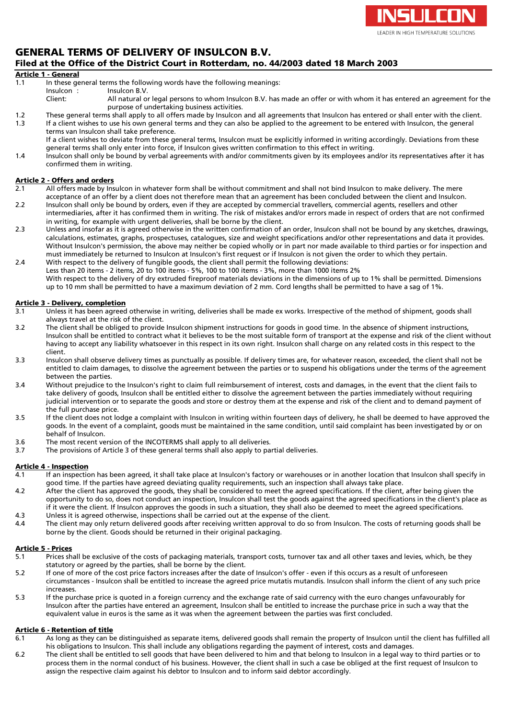

### GENERAL TERMS OF DELIVERY OF INSULCON B.V. Filed at the Office of the District Court in Rotterdam, no. 44/2003 dated 18 March 2003

#### Article 1 - General

- 1.1 In these general terms the following words have the following meanings:<br>Insulcon: Insulcon B.V.
- 
- Insulcon : Insulcon B.V.<br>Client: All natural of All natural or legal persons to whom Insulcon B.V. has made an offer or with whom it has entered an agreement for the purpose of undertaking business activities.
- 1.2 These general terms shall apply to all offers made by Insulcon and all agreements that Insulcon has entered or shall enter with the client.<br>1.3 If a client wishes to use his own general terms and they can also be appli If a client wishes to use his own general terms and they can also be applied to the agreement to be entered with Insulcon, the general terms van Insulcon shall take preference.
	- If a client wishes to deviate from these general terms, Insulcon must be explicitly informed in writing accordingly. Deviations from these general terms shall only enter into force, if Insulcon gives written confirmation to this effect in writing.
- 1.4 Insulcon shall only be bound by verbal agreements with and/or commitments given by its employees and/or its representatives after it has confirmed them in writing.

#### Article 2 - Offers and orders

- 2.1 All offers made by Insulcon in whatever form shall be without commitment and shall not bind Insulcon to make delivery. The mere acceptance of an offer by a client does not therefore mean that an agreement has been concluded between the client and Insulcon.
- 2.2 Insulcon shall only be bound by orders, even if they are accepted by commercial travellers, commercial agents, resellers and other intermediaries, after it has confirmed them in writing. The risk of mistakes and/or errors made in respect of orders that are not confirmed in writing, for example with urgent deliveries, shall be borne by the client.
- 2.3 Unless and insofar as it is agreed otherwise in the written confirmation of an order, Insulcon shall not be bound by any sketches, drawings, calculations, estimates, graphs, prospectuses, catalogues, size and weight specifications and/or other representations and data it provides. Without Insulcon's permission, the above may neither be copied wholly or in part nor made available to third parties or for inspection and must immediately be returned to Insulcon at Insulcon's first request or if Insulcon is not given the order to which they pertain.
- 2.4 With respect to the delivery of fungible goods, the client shall permit the following deviations: Less than 20 items - 2 items, 20 to 100 items - 5%, 100 to 100 items - 3%, more than 1000 items 2% With respect to the delivery of dry extruded fireproof materials deviations in the dimensions of up to 1% shall be permitted. Dimensions up to 10 mm shall be permitted to have a maximum deviation of 2 mm. Cord lengths shall be permitted to have a sag of 1%.

#### Article 3 - Delivery, completion

- 3.1 Unless it has been agreed otherwise in writing, deliveries shall be made ex works. Irrespective of the method of shipment, goods shall always travel at the risk of the client.
- 3.2 The client shall be obliged to provide Insulcon shipment instructions for goods in good time. In the absence of shipment instructions, Insulcon shall be entitled to contract what it believes to be the most suitable form of transport at the expense and risk of the client without having to accept any liability whatsoever in this respect in its own right. Insulcon shall charge on any related costs in this respect to the client.
- 3.3 Insulcon shall observe delivery times as punctually as possible. If delivery times are, for whatever reason, exceeded, the client shall not be entitled to claim damages, to dissolve the agreement between the parties or to suspend his obligations under the terms of the agreement between the parties.
- 3.4 Without prejudice to the Insulcon's right to claim full reimbursement of interest, costs and damages, in the event that the client fails to take delivery of goods, Insulcon shall be entitled either to dissolve the agreement between the parties immediately without requiring judicial intervention or to separate the goods and store or destroy them at the expense and risk of the client and to demand payment of the full purchase price.
- 3.5 If the client does not lodge a complaint with Insulcon in writing within fourteen days of delivery, he shall be deemed to have approved the goods. In the event of a complaint, goods must be maintained in the same condition, until said complaint has been investigated by or on behalf of Insulcon.
- 3.6 The most recent version of the INCOTERMS shall apply to all deliveries.
- 3.7 The provisions of Article 3 of these general terms shall also apply to partial deliveries.

## **Article 4 - Inspection**<br>4.1 **If an inspection**

- If an inspection has been agreed, it shall take place at Insulcon's factory or warehouses or in another location that Insulcon shall specify in good time. If the parties have agreed deviating quality requirements, such an inspection shall always take place.
- 4.2 After the client has approved the goods, they shall be considered to meet the agreed specifications. If the client, after being given the opportunity to do so, does not conduct an inspection, Insulcon shall test the goods against the agreed specifications in the client's place as if it were the client. If Insulcon approves the goods in such a situation, they shall also be deemed to meet the agreed specifications. 4.3 Unless it is agreed otherwise, inspections shall be carried out at the expense of the client.
- 4.4 The client may only return delivered goods after receiving written approval to do so from Insulcon. The costs of returning goods shall be borne by the client. Goods should be returned in their original packaging.

#### Article 5 - Prices

- 5.1 Prices shall be exclusive of the costs of packaging materials, transport costs, turnover tax and all other taxes and levies, which, be they statutory or agreed by the parties, shall be borne by the client.
- 5.2 If one of more of the cost price factors increases after the date of Insulcon's offer even if this occurs as a result of unforeseen circumstances - Insulcon shall be entitled to increase the agreed price mutatis mutandis. Insulcon shall inform the client of any such price increases.
- 5.3 If the purchase price is quoted in a foreign currency and the exchange rate of said currency with the euro changes unfavourably for Insulcon after the parties have entered an agreement, Insulcon shall be entitled to increase the purchase price in such a way that the equivalent value in euros is the same as it was when the agreement between the parties was first concluded.

#### Article 6 - Retention of title

- 6.1 As long as they can be distinguished as separate items, delivered goods shall remain the property of Insulcon until the client has fulfilled all his obligations to Insulcon. This shall include any obligations regarding the payment of interest, costs and damages.
- 6.2 The client shall be entitled to sell goods that have been delivered to him and that belong to Insulcon in a legal way to third parties or to process them in the normal conduct of his business. However, the client shall in such a case be obliged at the first request of Insulcon to assign the respective claim against his debtor to Insulcon and to inform said debtor accordingly.